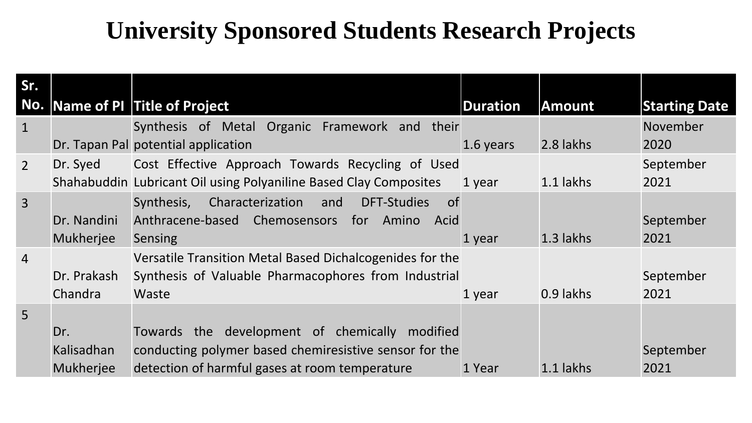## **University Sponsored Students Research Projects**

| Sr.            |                  | No. Name of PI Title of Project                                          | <b>Duration</b> | <b>Amount</b> | <b>Starting Date</b> |
|----------------|------------------|--------------------------------------------------------------------------|-----------------|---------------|----------------------|
| $\mathbf{1}$   |                  | Synthesis of Metal Organic Framework and their                           |                 |               | November             |
|                |                  | Dr. Tapan Pal potential application                                      | 1.6 years       | 2.8 lakhs     | 2020                 |
| $\overline{2}$ | Dr. Syed         | Cost Effective Approach Towards Recycling of Used                        |                 |               | September            |
|                |                  | Shahabuddin Lubricant Oil using Polyaniline Based Clay Composites        | 1 year          | 1.1 lakhs     | 2021                 |
| $\overline{3}$ |                  | Synthesis,<br>Characterization<br><b>DFT-Studies</b><br>and<br><b>of</b> |                 |               |                      |
|                | Dr. Nandini      | Anthracene-based Chemosensors<br>for<br>Amino<br>Acid                    |                 |               | September            |
|                | <b>Mukherjee</b> | <b>Sensing</b>                                                           | 1 year          | $1.3$ lakhs   | 2021                 |
| $\overline{4}$ |                  | Versatile Transition Metal Based Dichalcogenides for the                 |                 |               |                      |
|                | Dr. Prakash      | Synthesis of Valuable Pharmacophores from Industrial                     |                 |               | September            |
|                | Chandra          | Waste                                                                    | 1 year          | 0.9 lakhs     | 2021                 |
| 5 <sup>1</sup> |                  |                                                                          |                 |               |                      |
|                | Dr.              | Towards the development of chemically<br>modified                        |                 |               |                      |
|                | Kalisadhan       | conducting polymer based chemiresistive sensor for the                   |                 |               | September            |
|                | <b>Mukherjee</b> | detection of harmful gases at room temperature                           | 1 Year          | 1.1 lakhs     | 2021                 |